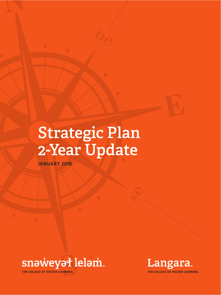# **Strategic Plan 2-Year Update**

**JANUARY 2018**

snaweyał lelam.

THE COLLEGE OF HIGHER LEARNING.

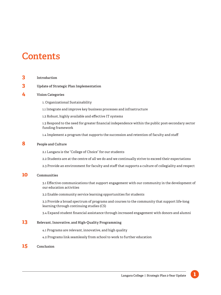# **Contents**

# **3 Introduction**

**3 Update of Strategic Plan Implementation**

# **4 Vision Categories**

- 1. Organizational Sustainability
- 1.1 Integrate and improve key business processes and infrastructure
- 1.2 Robust, highly available and effective IT systems

1.3 Respond to the need for greater financial independence within the public post-secondary sector funding framework

1.4 Implement a program that supports the succession and retention of faculty and staff

# **8 People and Culture**

2.1 Langara is the "College of Choice" for our students

2.2 Students are at the centre of all we do and we continually strive to exceed their expectations

2.3 Provide an environment for faculty and staff that supports a culture of collegiality and respect

# **10 Communities**

3.1 Effective communications that support engagement with our community in the development of our education activities

3.2 Enable community service learning opportunities for students

3.3 Provide a broad spectrum of programs and courses to the community that support life-long learning through continuing studies (CS)

3.4 Expand student financial assistance through increased engagement with donors and alumni

# **13 Relevant, Innovative, and High-Quality Programming**

- 4.1 Programs are relevant, innovative, and high quality
- 4.2 Programs link seamlessly from school to work to further education

# **15 Conclusion**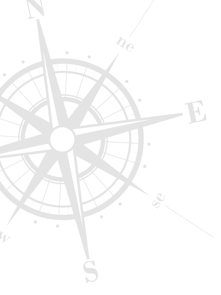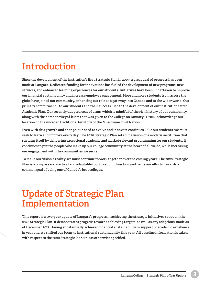# **Introduction**

**Since the development of the institution's first Strategic Plan in 2009, a great deal of progress has been made at Langara. Dedicated funding for innovations has fueled the development of new programs, new services, and enhanced learning experiences for our students. Initiatives have been undertaken to improve our financial sustainability and increase employee engagement. More and more students from across the globe have joined our community, enhancing our role as a gateway into Canada and to the wider world. Our primary commitment – to our students and their success – led to the development of our institution's first Academic Plan. Our recently-adopted coat of arms, which is mindful of the rich history of our community,**  along with the name snəweyət leləm that was given to the College on January 11, 2016, acknowledge our **location on the unceded traditional territory of the Musqueam First Nation.** 

**Even with this growth and change, our need to evolve and innovate continues. Like our students, we must seek to learn and improve every day. The 2020 Strategic Plan sets out a vision of a modern institution that sustains itself by delivering exceptional academic and market-relevant programming for our students. It continues to put the people who make up our college community at the heart of all we do, while increasing our engagement with the communities we serve.**

**To make our vision a reality, we must continue to work together over the coming years. The 2020 Strategic Plan is a compass – a practical and adaptable tool to set our direction and focus our efforts towards a common goal of being one of Canada's best colleges.** 

# **Update of Strategic Plan Implementation**

**This report is a two-year update of Langara's progress in achieving the strategic initiatives set out in the 2020 Strategic Plan. It demonstrates progress towards achieving targets, as well as any adaptions, made as of December 2017. Having substantially achieved financial sustainability in support of academic excellence in year one, we shifted our focus to institutional sustainability this year. All baseline information is taken with respect to the 2020 Strategic Plan unless otherwise specified.**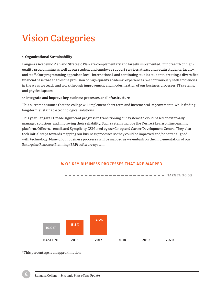# **Vision Categories**

### **1. Organizational Sustainability**

Langara's Academic Plan and Strategic Plan are complementary and largely implemented. Our breadth of highquality programming as well as our student and employee support services attract and retain students, faculty, and staff. Our programming appeals to local, international, and continuing studies students, creating a diversified financial base that enables the provision of high-quality academic experiences. We continuously seek efficiencies in the ways we teach and work through improvement and modernization of our business processes, IT systems, and physical spaces.

#### **1.1 Integrate and improve key business processes and infrastructure**

This outcome assumes that the college will implement short-term and incremental improvements, while finding long-term, sustainable technological solutions.

This year Langara IT made significant progress in transitioning our systems to cloud-based or externally managed solutions, and improving their reliability. Such systems include the Desire 2 Learn online learning platform, Office 365 email, and Symplicity CSM used by our Co-op and Career Development Centre. They also took initial steps towards mapping our business processes so they could be improved and/or better aligned with technology. Many of our business processes will be mapped as we embark on the implementation of our Enterprise Resource Planning (ERP) software system.



\*This percentage is an approximation.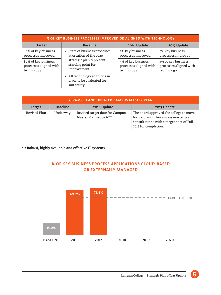| % OF KEY BUSINESS PROCESSES IMPROVED OR ALIGNED WITH TECHNOLOGY |                                                                           |                                                            |                                                            |  |
|-----------------------------------------------------------------|---------------------------------------------------------------------------|------------------------------------------------------------|------------------------------------------------------------|--|
| <b>Target</b>                                                   | <b>Baseline</b>                                                           | 2016 Update                                                | 2017 Update                                                |  |
| 80% of key business<br>processes improved                       | • State of business processes<br>at creation of the 2020                  | 4% key business<br>processes improved                      | 5% key business<br>processes improved                      |  |
| 80% of key business<br>processes aligned with<br>technology     | strategic plan represent<br>starting point for<br>improvement             | 4% of key business<br>processes aligned with<br>technology | 5% of key business<br>processes aligned with<br>technology |  |
|                                                                 | • All technology solutions in<br>place to be evaluated for<br>suitability |                                                            |                                                            |  |

| <b>REVAMPED AND UPDATED CAMPUS MASTER PLAN</b>                 |          |                                                           |                                                                                                                                                   |  |
|----------------------------------------------------------------|----------|-----------------------------------------------------------|---------------------------------------------------------------------------------------------------------------------------------------------------|--|
| 2016 Update<br>2017 Update<br><b>Baseline</b><br><b>Target</b> |          |                                                           |                                                                                                                                                   |  |
| Revised Plan                                                   | Underway | Revised target date for Campus<br>Master Plan set to 2017 | The board approved the college to move<br>forward with the campus master plan<br>consultations with a target date of Fall<br>2018 for completion. |  |

# **1.2 Robust, highly available and effective IT systems**

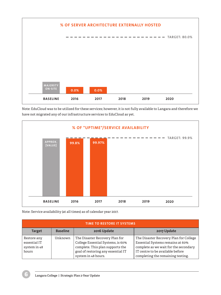

Note: EduCloud was to be utilized for these services; however, it is not fully available to Langara and therefore we have not migrated any of our infrastructure services to EduCloud as yet.



Note: Service availability (at all times) as of calendar year 2017.

| <b>TIME TO RESTORE IT SYSTEMS</b>                    |                 |                                                                                                                                                                      |                                                                                                                                                                                              |  |
|------------------------------------------------------|-----------------|----------------------------------------------------------------------------------------------------------------------------------------------------------------------|----------------------------------------------------------------------------------------------------------------------------------------------------------------------------------------------|--|
| <b>Target</b>                                        | <b>Baseline</b> | 2016 Update                                                                                                                                                          | 2017 Update                                                                                                                                                                                  |  |
| Restore any<br>essential IT<br>system in 48<br>hours | Unknown         | The Disaster Recovery Plan for<br>College Essential Systems, is 60%<br>complete. This plan supports the<br>goal of restoring any essential IT<br>system in 48 hours. | The Disaster Recovery Plan for College<br>Essential Systems remains at 60%<br>complete as we wait for the secondary<br>IT centre to be available before<br>completing the remaining testing. |  |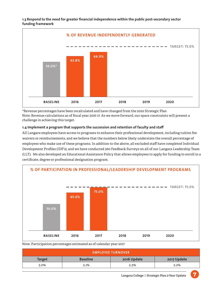**1.3 Respond to the need for greater financial independence within the public post-secondary sector funding framework**



\*Revenue percentages have been recalculated and have changed from the 2020 Strategic Plan Note: Revenue calculations as of fiscal year 2016-17. As we move forward, our space constraints will present a challenge in achieving this target.

# **1.4 Implement a program that supports the succession and retention of faculty and staff**

All Langara employees have access to programs to enhance their professional development, including tuition fee waivers or reimbursements, and we believe that the numbers below likely understate the overall percentage of employees who make use of these programs. In addition to the above, all excluded staff have completed Individual Development Profiles (IDP's), and we have conducted 360 Feedback Surveys on all of our Langara Leadership Team (LLT). We also developed an Educational Assistance Policy that allows employees to apply for funding to enroll in a certificate, degree or professional designation program.



Note: Participation percentages estimated as of calendar year 2017

| <b>EMPLOYEE TURNOVER</b>                                       |      |      |      |  |
|----------------------------------------------------------------|------|------|------|--|
| 2016 Update<br>2017 Update<br><b>Baseline</b><br><b>Target</b> |      |      |      |  |
| 3.0%                                                           | 2.1% | 2.3% | 2.2% |  |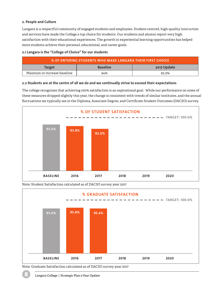### **2. People and Culture**

Langara is a respectful community of engaged students and employees. Student-centred, high-quality instruction and services have made the College a top choice for students. Our students and alumni report very high satisfaction with their educational experiences. The growth in experiential learning opportunities has helped more students achieve their personal, educational, and career goals.

#### **2.1 Langara is the "College of Choice" for our students**

| <b>% OF ENTERING STUDENTS WHO MAKE LANGARA THEIR FIRST CHOICE</b> |  |  |  |  |
|-------------------------------------------------------------------|--|--|--|--|
| <b>Baseline</b><br>2017 Update<br><b>Target</b>                   |  |  |  |  |
| Maintain or increase baseline<br>93.5%<br>94%                     |  |  |  |  |

#### **2.2 Students are at the centre of all we do and we continually strive to exceed their expectations**

The college recognizes that achieving 100% satisfaction is an aspirational goal. While our performance on some of these measures dropped slightly this year, the change is consistent with trends of similar institutes, and the annual fluctuations we typically see in the Diploma, Associate Degree, and Certificate Student Outcomes (DACSO) survey.



Note: Student Satisfaction calculated as of DACSO survey year 2017



Note: Graduate Satisfaction calculated as of DACSO survey year 2017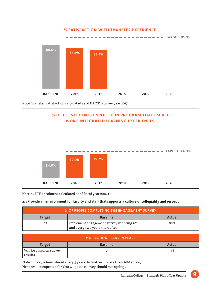

Note: Transfer Satisfaction calculated as of DACSO survey year 2017



Note: % FTE enrolment calculated as of fiscal year 2016-17

# **2.3 Provide an environment for faculty and staff that supports a culture of collegiality and respect**

| <b>% OF PEOPLE COMPLETING THE ENGAGEMENT SURVEY</b> |                                                                              |        |  |
|-----------------------------------------------------|------------------------------------------------------------------------------|--------|--|
| <b>Target</b>                                       | <b>Baseline</b>                                                              | Actual |  |
| 60%                                                 | Implement engagement survey in spring 2016<br>and every two years thereafter | 58%    |  |

| # OF ACTION PLANS IN PLACE         |                 |               |  |
|------------------------------------|-----------------|---------------|--|
| <b>Target</b>                      | <b>Baseline</b> | <b>Actual</b> |  |
| Will be based on survey<br>results |                 | 38            |  |

Note: Survey administered every 3 years. Actual results are from 2016 survey. Next results expected for Year 4 update (survey should run spring 2019).

9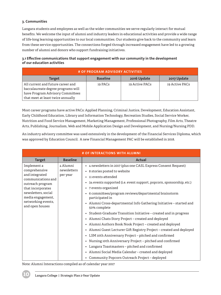## **3. Communities**

Langara students and employees as well as the wider communities we serve regularly interact for mutual benefits. We welcome the input of alumni and industry leaders in educational activities and provide a wide range of life-long learning opportunities to our local communities. Our students give back to the community and learn from these service opportunities. The connections forged through increased engagement have led to a growing number of alumni and donors who support fundraising initiatives.

# **3.1 Effective communications that support engagement with our community in the development of our education activities**

| # OF PROGRAM ADVISORY ACTIVITIES                                                                                                                 |                 |                |                |  |
|--------------------------------------------------------------------------------------------------------------------------------------------------|-----------------|----------------|----------------|--|
| <b>Target</b>                                                                                                                                    | <b>Baseline</b> | 2016 Update    | 2017 Update    |  |
| All current and future career and<br>baccalaureate degree programs will<br>have Program Advisory Committees<br>that meet at least twice annually | 19 PACs         | 19 Active PACs | 19 Active PACs |  |

Most career programs have active PACs: Applied Planning, Criminal Justice, Development, Education Assistant, Early Childhood Education, Library and Information Technology, Recreation Studies, Social Service Worker, Nutrition and Food Service Management, Marketing Management, Professional Photography, Film Arts, Theatre Arts, Publishing, Journalism, Web and Mobile Application Design and Development, and Nursing/Nursing PDD.

An industry advisory committee was used extensively in the development of the Financial Services Diploma, which was approved by Education Council. A new Financial Management PAC will be established in 2018.

| # OF INTERACTIONS WITH ALUMNI                                                                                                                                                                      |                                     |                                                                                                                                                                                                                                                                                                                                                                                                                                                                                                                                                                                                                                                                                                                                                                                                                                                                                                                                                |  |
|----------------------------------------------------------------------------------------------------------------------------------------------------------------------------------------------------|-------------------------------------|------------------------------------------------------------------------------------------------------------------------------------------------------------------------------------------------------------------------------------------------------------------------------------------------------------------------------------------------------------------------------------------------------------------------------------------------------------------------------------------------------------------------------------------------------------------------------------------------------------------------------------------------------------------------------------------------------------------------------------------------------------------------------------------------------------------------------------------------------------------------------------------------------------------------------------------------|--|
| <b>Target</b>                                                                                                                                                                                      | <b>Baseline</b>                     | <b>Actual</b>                                                                                                                                                                                                                                                                                                                                                                                                                                                                                                                                                                                                                                                                                                                                                                                                                                                                                                                                  |  |
| Implement a<br>comprehensive<br>and integrated<br>communications and<br>outreach program<br>that incorporates<br>newsletters, social<br>media engagement,<br>networking events,<br>and open houses | 4 Alumni<br>newsletters<br>per year | • 4 newsletters in 2017 (plus one CASL Express Consent Request)<br>• 8 stories posted to website<br>• 11 events attended<br>• 34 events supported (i.e. event support, popcorn, sponsorship, etc.)<br>• 7 events organized<br>6 committees/program reviews/departmental brainstorm<br>participated in<br>Alumni Cross-departmental Info Gathering Initiative – started and<br>50% complete<br>• Student-Graduate Transition Initiative – created and in progress<br>• Alumni Chats Story Project - created and deployed<br>• Alumni Authors Book Nook Project – created and deployed<br>• Alumni Guest Lecturer Gift Registry Project – created and deployed<br>• LSM 10th Anniversary Project – pitched and confirmed<br>Nursing 10th Anniversary Project - pitched and confirmed<br>• Langara Toastmasters - pitched and confirmed<br>• Alumni Social Media Calendar – created and deployed<br>Community Popcorn Outreach Project - deployed |  |

Note: Alumni Interactions compiled as of calendar year 2017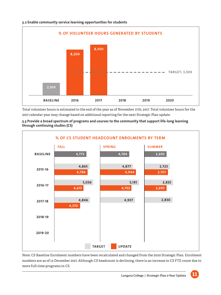

Total volunteer hours is estimated to the end of the year as of November 17th, 2017. Total volunteer hours for the 2017 calendar year may change based on additional reporting for the next Strategic Plan update.



**3.3 Provide a broad spectrum of programs and courses to the community that support life-long learning through continuing studies (CS)**

Note: CS Baseline Enrolment numbers have been recalculated and changed from the 2020 Strategic Plan. Enrolment numbers are as of 12 December 2017. Although CS headcount is declining, there is an increase in CS FTE count due to more full-time programs in CS.

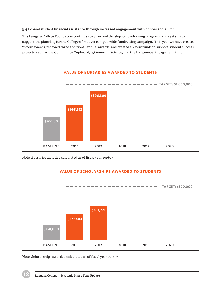### **3.4 Expand student financial assistance through increased engagement with donors and alumni**

The Langara College Foundation continues to grow and develop its fundraising programs and systems to support the planning for the College's first ever campus-wide fundraising campaign. This year we have created 28 new awards, renewed three additional annual awards, and created six new funds to support student success projects, such as the Community Cupboard, 49Women in Science, and the Indigenous Engagement Fund.



Note: Bursaries awarded calculated as of fiscal year 2016-17



Note: Scholarships awarded calculated as of fiscal year 2016-17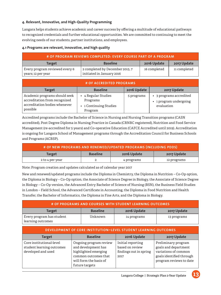# **4. Relevant, Innovative, and High-Quality Programming**

Langara helps students achieve academic and career success by offering a multitude of educational pathways to recognized credentials and further educational opportunities. We are committed to continuing to meet the evolving needs of our students, partner institutions, and employees.

### **4.1 Programs are relevant, innovative, and high quality**

| # OF PROGRAM REVIEWS COMPLETED: EVERY COURSE PART OF A PROGRAM |                                                              |              |              |  |
|----------------------------------------------------------------|--------------------------------------------------------------|--------------|--------------|--|
| <b>Target</b>                                                  | <b>Baseline</b>                                              | 2016 Update  | 2017 Update  |  |
| Every program reviewed every 6<br>years; 12 per year           | 2 completed by December 2015, 7<br>initiated in January 2016 | 16 completed | 11 completed |  |

| # OF ACCREDITED PROGRAMS                                                                                    |                                                                      |             |                                                                 |  |
|-------------------------------------------------------------------------------------------------------------|----------------------------------------------------------------------|-------------|-----------------------------------------------------------------|--|
| <b>Target</b>                                                                                               | <b>Baseline</b>                                                      | 2016 Update | 2017 Update                                                     |  |
| Academic programs should seek<br>accreditation from recognized<br>accreditation bodies whenever<br>possible | • 4 Regular Studies<br>Programs<br>• 1 Continuing Studies<br>Program | 5 programs  | • 3 programs accredited<br>• 1 program undergoing<br>evaluation |  |

Accredited programs include the Bachelor of Science in Nursing and Nursing Transition programs (CASN accredited), Post Degree Diploma in Nursing Practice in Canada (CRNBC registered), Nutrition and Food Service Management (re-accredited for 5 years) and Co-operative Education (CAFCE Accredited until 2019). Accreditation is ongoing for Langara School of Management programs through the Accreditation Council for Business Schools and Programs (ACBSP).

| # OF NEW PROGRAMS AND RENEWED/UPDATED PROGRAMS (INCLUDING PDDS) |  |            |             |  |
|-----------------------------------------------------------------|--|------------|-------------|--|
| <b>Baseline</b><br>2016 Update<br>2017 Update<br><b>Target</b>  |  |            |             |  |
| 2 to 4 per year                                                 |  | 4 programs | 12 programs |  |

Note: Program creation and updates calculated as of calendar year 2017

New and renewed/updated programs include the Diploma in Chemistry, the Diploma in Nutrition – Co-Op option, the Diploma in Biology – Co-Op option, the Associate of Science Degree in Biology, the Associate of Science Degree in Biology – Co-Op version, the Advanced Entry Bachelor of Science of Nursing (BSN), the Business Field Studies in London – Field School, the Advanced Certificate in Accounting, the Diploma in Food Nutrition and Health Transfer, the Bachelor of Informatics, the Diploma in Fine Arts, and the Diploma in Biology.

| # OF PROGRAMS AND COURSES WITH STUDENT LEARNING OUTCOMES |                 |             |             |  |  |
|----------------------------------------------------------|-----------------|-------------|-------------|--|--|
| <b>Target</b>                                            | <b>Baseline</b> | 2016 Update | 2017 Update |  |  |
| Every program has student<br>learning outcomes           | Unknown         | 14 programs | 13 programs |  |  |

| <b>DEVELOPMENT OF CORE INSTITUTION-LEVEL STUDENT LEARNING OUTCOMES</b>      |                                                                                                                                           |                                                                        |                                                                                                                            |  |  |
|-----------------------------------------------------------------------------|-------------------------------------------------------------------------------------------------------------------------------------------|------------------------------------------------------------------------|----------------------------------------------------------------------------------------------------------------------------|--|--|
| <b>Target</b>                                                               | <b>Baseline</b>                                                                                                                           | 2016 Update                                                            | 2017 Update                                                                                                                |  |  |
| Core institutional-level<br>student learning outcomes<br>developed and used | Ongoing program review<br>and development has<br>highlighted emerging<br>common outcomes that<br>will form the basis of<br>future targets | Initial reporting<br>based on review<br>findings out in spring<br>2017 | Preliminary program<br>goals and department<br>variations of common<br>goals identified through<br>program reviews to date |  |  |

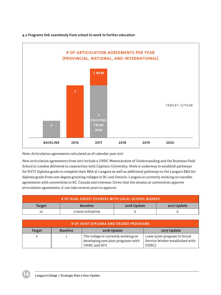

**4.2 Programs link seamlessly from school to work to further education**

Note: Articulation agreements calculated as of calendar year 2017

New articulation agreements from 2017 include a UNBC Memorandum of Understanding and the Business Field School in London delivered in conjunction with Capilano University. Work is underway to establish pathways for NVIT diploma grads to complete their BBA at Langara as well as additional pathways to the Langara BBA for diploma grads from non-degree granting colleges in BC and Ontario. Langara is currently working on transfer agreements with universities in BC, Canada and overseas. Given that the senates at universities approve articulation agreements, it can take several years to approve.

| <b># OF DUAL CREDIT COURSES WITH LOCAL SCHOOL BOARDS</b> |                    |             |             |  |
|----------------------------------------------------------|--------------------|-------------|-------------|--|
| <b>Baseline</b><br><b>Target</b>                         |                    | 2016 Update | 2017 Update |  |
| 10                                                       | 0 (new initiative) |             |             |  |

| # OF JOINT DIPLOMA AND DEGREE PROGRAMS |                 |                                                                                           |                                                                            |  |  |
|----------------------------------------|-----------------|-------------------------------------------------------------------------------------------|----------------------------------------------------------------------------|--|--|
| <b>Target</b>                          | <b>Baseline</b> | 2016 Update                                                                               | 2017 Update                                                                |  |  |
| 3                                      |                 | The college is currently working on<br>developing new joint programs with<br>UNBC and SFU | 1 new (joint program in Social<br>Service Worker established with<br>UNBC) |  |  |

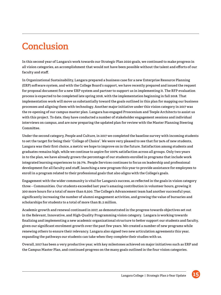# **Conclusion**

**In this second year of Langara's work towards our Strategic Plan 2020 goals, we continued to make progress in all vision categories, an accomplishment that would not have been possible without the talent and efforts of our faculty and staff.**

**In Organizational Sustainability, Langara prepared a business case for a new Enterprise Resource Planning (ERP) software system, and with the College Board's support, we have recently prepared and issued the request for proposal document for a new ERP system and partner to support us in implementing it. The RFP evaluation process is expected to be completed late spring 2018, with the implementation beginning in fall 2018. That implementation work will move us substantially toward the goals outlined in this plan for mapping our business processes and aligning them with technology. Another major initiative under this vision category in 2017 was the re-opening of our campus master plan. Langara has engaged Proscenium and Teeple Architects to assist us with this project. To date, they have conducted a number of stakeholder engagement sessions and individual interviews on campus, and are now preparing the updated plan for review with the Master Planning Steering Committee.**

**Under the second category, People and Culture, in 2017 we completed the baseline survey with incoming students to set the target for being their "College of Choice". We were very pleased to see that for 94% of new students, Langara was their first choice, a metric we hope to improve on in the future. Satisfaction among students and graduates remains high, while we continue to aspire for 100% satisfaction across all groups. Only two years in to the plan, we have already grown the percentage of our students enrolled in programs that include work integrated learning experiences to 39.7%. People Services continues to focus on leadership and professional development for all faculty and staff, launching a new program this year to provide assistance for employees to enroll in a program related to their professional goals that also aligns with the College's goals.** 

**Engagement with the wider community is vital for Langara's success, as reflected in the goals in vision category three – Communities. Our students exceeded last year's amazing contribution in volunteer hours, growing it 300 more hours for a total of more than 8,500. The College's Advancement team had another successful year, significantly increasing the number of alumni engagement activities, and growing the value of bursaries and scholarships for students to a total of more than \$1.2 million.**

**Academic growth and renewal continued in 2017, as demonstrated in the progress towards objectives set out in the Relevant, Innovative, and High-Quality Programming vision category. Langara is working towards finalizing and implementing a new academic organizational structure to better support our students and faculty, given our significant enrolment growth over the past few years. We created a number of new programs while renewing others to ensure their relevancy. Langara also signed two new articulation agreements this year, expanding the pathways our students can take when they complete their studies with us.** 

**Overall, 2017 has been a very productive year, with key milestones achieved on major initiatives such as ERP and the Campus Master Plan, and continued progress on the many goals outlined in the four vision categories.** 

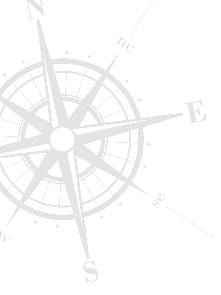